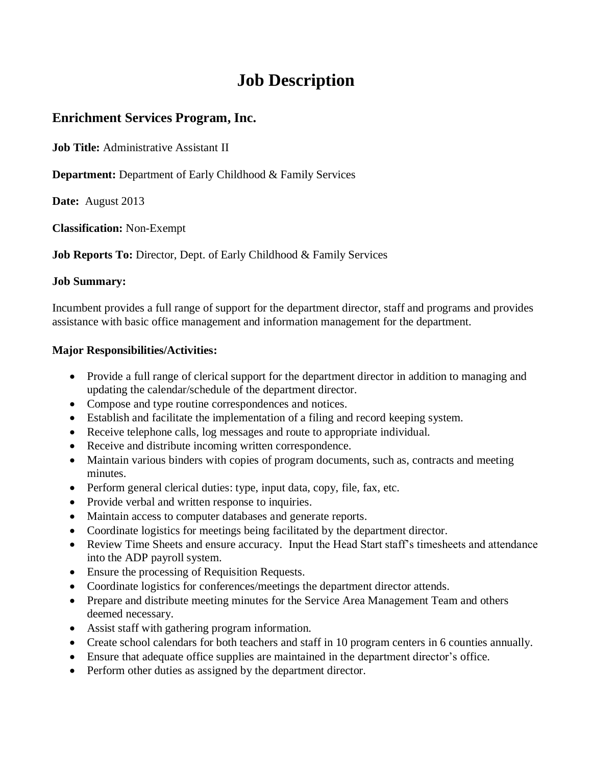# **Job Description**

# **Enrichment Services Program, Inc.**

**Job Title:** Administrative Assistant II

**Department:** Department of Early Childhood & Family Services

**Date:** August 2013

**Classification:** Non-Exempt

**Job Reports To:** Director, Dept. of Early Childhood & Family Services

#### **Job Summary:**

Incumbent provides a full range of support for the department director, staff and programs and provides assistance with basic office management and information management for the department.

### **Major Responsibilities/Activities:**

- Provide a full range of clerical support for the department director in addition to managing and updating the calendar/schedule of the department director.
- Compose and type routine correspondences and notices.
- Establish and facilitate the implementation of a filing and record keeping system.
- Receive telephone calls, log messages and route to appropriate individual.
- Receive and distribute incoming written correspondence.
- Maintain various binders with copies of program documents, such as, contracts and meeting minutes.
- Perform general clerical duties: type, input data, copy, file, fax, etc.
- Provide verbal and written response to inquiries.
- Maintain access to computer databases and generate reports.
- Coordinate logistics for meetings being facilitated by the department director.
- Review Time Sheets and ensure accuracy. Input the Head Start staff's timesheets and attendance into the ADP payroll system.
- Ensure the processing of Requisition Requests.
- Coordinate logistics for conferences/meetings the department director attends.
- Prepare and distribute meeting minutes for the Service Area Management Team and others deemed necessary.
- Assist staff with gathering program information.
- Create school calendars for both teachers and staff in 10 program centers in 6 counties annually.
- Ensure that adequate office supplies are maintained in the department director's office.
- Perform other duties as assigned by the department director.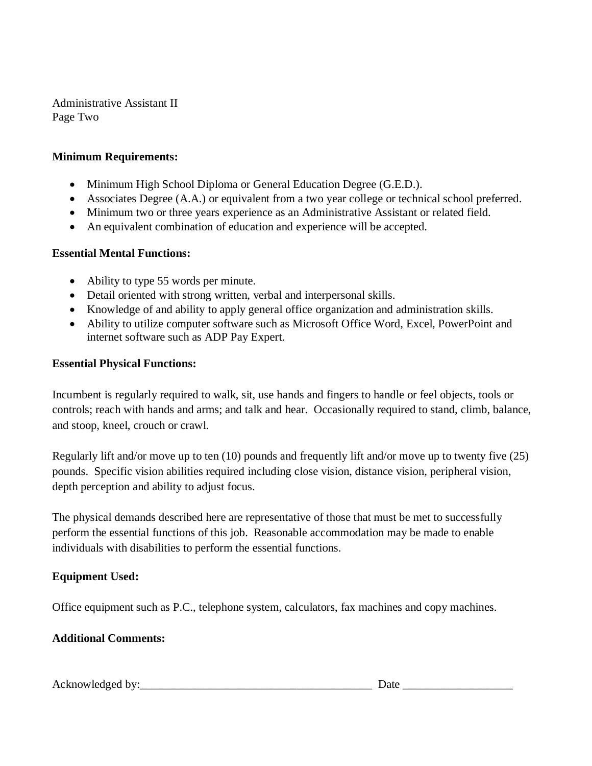Administrative Assistant II Page Two

# **Minimum Requirements:**

- Minimum High School Diploma or General Education Degree (G.E.D.).
- Associates Degree (A.A.) or equivalent from a two year college or technical school preferred.
- Minimum two or three years experience as an Administrative Assistant or related field.
- An equivalent combination of education and experience will be accepted.

### **Essential Mental Functions:**

- Ability to type 55 words per minute.
- Detail oriented with strong written, verbal and interpersonal skills.
- Knowledge of and ability to apply general office organization and administration skills.
- Ability to utilize computer software such as Microsoft Office Word, Excel, PowerPoint and internet software such as ADP Pay Expert.

### **Essential Physical Functions:**

Incumbent is regularly required to walk, sit, use hands and fingers to handle or feel objects, tools or controls; reach with hands and arms; and talk and hear. Occasionally required to stand, climb, balance, and stoop, kneel, crouch or crawl.

Regularly lift and/or move up to ten (10) pounds and frequently lift and/or move up to twenty five (25) pounds. Specific vision abilities required including close vision, distance vision, peripheral vision, depth perception and ability to adjust focus.

The physical demands described here are representative of those that must be met to successfully perform the essential functions of this job. Reasonable accommodation may be made to enable individuals with disabilities to perform the essential functions.

# **Equipment Used:**

Office equipment such as P.C., telephone system, calculators, fax machines and copy machines.

# **Additional Comments:**

Acknowledged by: <u>Date and the set of the set of the set of the set of the set of the set of the set of the set of the set of the set of the set of the set of the set of the set of the set of the set of the set of the set </u>